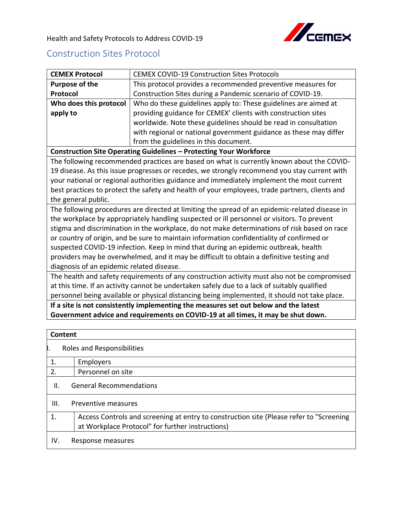

## Construction Sites Protocol

| <b>CEMEX Protocol</b>                                                                        | <b>CEMEX COVID-19 Construction Sites Protocols</b>                                                                                          |  |
|----------------------------------------------------------------------------------------------|---------------------------------------------------------------------------------------------------------------------------------------------|--|
| <b>Purpose of the</b>                                                                        | This protocol provides a recommended preventive measures for                                                                                |  |
| Protocol                                                                                     | Construction Sites during a Pandemic scenario of COVID-19.                                                                                  |  |
| Who does this protocol                                                                       | Who do these guidelines apply to: These guidelines are aimed at                                                                             |  |
| apply to                                                                                     | providing guidance for CEMEX' clients with construction sites                                                                               |  |
|                                                                                              | worldwide. Note these guidelines should be read in consultation                                                                             |  |
|                                                                                              | with regional or national government guidance as these may differ                                                                           |  |
|                                                                                              | from the guidelines in this document.                                                                                                       |  |
|                                                                                              | <b>Construction Site Operating Guidelines - Protecting Your Workforce</b>                                                                   |  |
|                                                                                              | The following recommended practices are based on what is currently known about the COVID-                                                   |  |
|                                                                                              | 19 disease. As this issue progresses or recedes, we strongly recommend you stay current with                                                |  |
|                                                                                              | your national or regional authorities guidance and immediately implement the most current                                                   |  |
|                                                                                              | best practices to protect the safety and health of your employees, trade partners, clients and                                              |  |
| the general public.                                                                          |                                                                                                                                             |  |
|                                                                                              | The following procedures are directed at limiting the spread of an epidemic-related disease in                                              |  |
|                                                                                              | the workplace by appropriately handling suspected or ill personnel or visitors. To prevent                                                  |  |
|                                                                                              | stigma and discrimination in the workplace, do not make determinations of risk based on race                                                |  |
|                                                                                              | or country of origin, and be sure to maintain information confidentiality of confirmed or                                                   |  |
|                                                                                              | suspected COVID-19 infection. Keep in mind that during an epidemic outbreak, health                                                         |  |
| providers may be overwhelmed, and it may be difficult to obtain a definitive testing and     |                                                                                                                                             |  |
| diagnosis of an epidemic related disease.                                                    |                                                                                                                                             |  |
| The health and safety requirements of any construction activity must also not be compromised |                                                                                                                                             |  |
|                                                                                              | at this time. If an activity cannot be undertaken safely due to a lack of suitably qualified                                                |  |
|                                                                                              | personnel being available or physical distancing being implemented, it should not take place.                                               |  |
|                                                                                              | If a site is not consistently implementing the measures set out below and the latest                                                        |  |
|                                                                                              | Government advice and requirements on COVID-19 at all times, it may be shut down.                                                           |  |
|                                                                                              |                                                                                                                                             |  |
| <b>Content</b>                                                                               |                                                                                                                                             |  |
| Roles and Responsibilities                                                                   |                                                                                                                                             |  |
| Employers<br>1.                                                                              |                                                                                                                                             |  |
| 2.<br>Personnel on site                                                                      |                                                                                                                                             |  |
| <b>General Recommendations</b><br>ΙΙ.                                                        |                                                                                                                                             |  |
| III.<br>Preventive measures                                                                  |                                                                                                                                             |  |
| 1.                                                                                           | Access Controls and screening at entry to construction site (Please refer to "Screening<br>at Workplace Protocol" for further instructions) |  |

IV. Response measures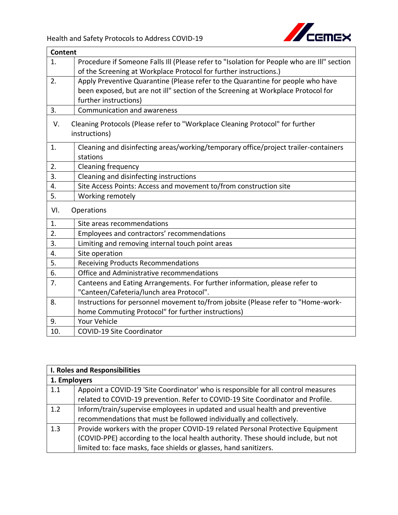

|     | <b>Content</b>                                                                             |  |
|-----|--------------------------------------------------------------------------------------------|--|
| 1.  | Procedure if Someone Falls III (Please refer to "Isolation for People who are III" section |  |
|     | of the Screening at Workplace Protocol for further instructions.)                          |  |
| 2.  | Apply Preventive Quarantine (Please refer to the Quarantine for people who have            |  |
|     | been exposed, but are not ill" section of the Screening at Workplace Protocol for          |  |
|     | further instructions)                                                                      |  |
| 3.  | Communication and awareness                                                                |  |
| V.  | Cleaning Protocols (Please refer to "Workplace Cleaning Protocol" for further              |  |
|     | instructions)                                                                              |  |
| 1.  | Cleaning and disinfecting areas/working/temporary office/project trailer-containers        |  |
|     | stations                                                                                   |  |
| 2.  | Cleaning frequency                                                                         |  |
| 3.  | Cleaning and disinfecting instructions                                                     |  |
| 4.  | Site Access Points: Access and movement to/from construction site                          |  |
| 5.  | Working remotely                                                                           |  |
| VI. | Operations                                                                                 |  |
| 1.  | Site areas recommendations                                                                 |  |
| 2.  | Employees and contractors' recommendations                                                 |  |
| 3.  | Limiting and removing internal touch point areas                                           |  |
| 4.  | Site operation                                                                             |  |
| 5.  | <b>Receiving Products Recommendations</b>                                                  |  |
| 6.  | Office and Administrative recommendations                                                  |  |
| 7.  | Canteens and Eating Arrangements. For further information, please refer to                 |  |
|     | "Canteen/Cafeteria/lunch area Protocol".                                                   |  |
| 8.  | Instructions for personnel movement to/from jobsite (Please refer to "Home-work-           |  |
|     | home Commuting Protocol" for further instructions)                                         |  |
| 9.  | <b>Your Vehicle</b>                                                                        |  |
| 10. | <b>COVID-19 Site Coordinator</b>                                                           |  |

|              | I. Roles and Responsibilities                                                      |  |
|--------------|------------------------------------------------------------------------------------|--|
| 1. Employers |                                                                                    |  |
| 1.1          | Appoint a COVID-19 'Site Coordinator' who is responsible for all control measures  |  |
|              | related to COVID-19 prevention. Refer to COVID-19 Site Coordinator and Profile.    |  |
| 1.2          | Inform/train/supervise employees in updated and usual health and preventive        |  |
|              | recommendations that must be followed individually and collectively.               |  |
| 1.3          | Provide workers with the proper COVID-19 related Personal Protective Equipment     |  |
|              | (COVID-PPE) according to the local health authority. These should include, but not |  |
|              | limited to: face masks, face shields or glasses, hand sanitizers.                  |  |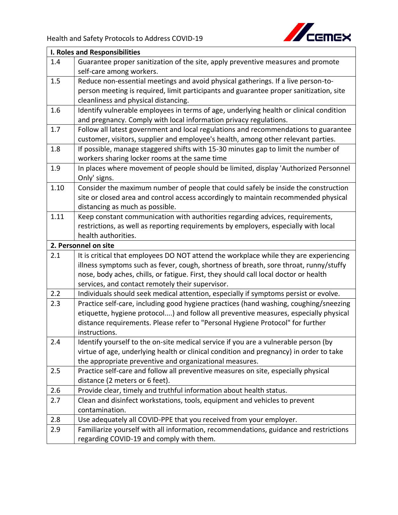

|      | <b>I. Roles and Responsibilities</b>                                                   |  |
|------|----------------------------------------------------------------------------------------|--|
| 1.4  | Guarantee proper sanitization of the site, apply preventive measures and promote       |  |
|      | self-care among workers.                                                               |  |
| 1.5  | Reduce non-essential meetings and avoid physical gatherings. If a live person-to-      |  |
|      | person meeting is required, limit participants and guarantee proper sanitization, site |  |
|      | cleanliness and physical distancing.                                                   |  |
| 1.6  | Identify vulnerable employees in terms of age, underlying health or clinical condition |  |
|      | and pregnancy. Comply with local information privacy regulations.                      |  |
| 1.7  | Follow all latest government and local regulations and recommendations to guarantee    |  |
|      | customer, visitors, supplier and employee's health, among other relevant parties.      |  |
| 1.8  | If possible, manage staggered shifts with 15-30 minutes gap to limit the number of     |  |
|      | workers sharing locker rooms at the same time                                          |  |
| 1.9  | In places where movement of people should be limited, display 'Authorized Personnel    |  |
|      | Only' signs.                                                                           |  |
| 1.10 | Consider the maximum number of people that could safely be inside the construction     |  |
|      | site or closed area and control access accordingly to maintain recommended physical    |  |
|      | distancing as much as possible.                                                        |  |
| 1.11 | Keep constant communication with authorities regarding advices, requirements,          |  |
|      | restrictions, as well as reporting requirements by employers, especially with local    |  |
|      | health authorities.                                                                    |  |
|      | 2. Personnel on site                                                                   |  |
| 2.1  | It is critical that employees DO NOT attend the workplace while they are experiencing  |  |
|      | illness symptoms such as fever, cough, shortness of breath, sore throat, runny/stuffy  |  |
|      | nose, body aches, chills, or fatigue. First, they should call local doctor or health   |  |
|      | services, and contact remotely their supervisor.                                       |  |
| 2.2  | Individuals should seek medical attention, especially if symptoms persist or evolve.   |  |
| 2.3  | Practice self-care, including good hygiene practices (hand washing, coughing/sneezing  |  |
|      | etiquette, hygiene protocol) and follow all preventive measures, especially physical   |  |
|      | distance requirements. Please refer to "Personal Hygiene Protocol" for further         |  |
|      | instructions.                                                                          |  |
| 2.4  | Identify yourself to the on-site medical service if you are a vulnerable person (by    |  |
|      | virtue of age, underlying health or clinical condition and pregnancy) in order to take |  |
|      | the appropriate preventive and organizational measures.                                |  |
| 2.5  | Practice self-care and follow all preventive measures on site, especially physical     |  |
|      | distance (2 meters or 6 feet).                                                         |  |
| 2.6  | Provide clear, timely and truthful information about health status.                    |  |
| 2.7  | Clean and disinfect workstations, tools, equipment and vehicles to prevent             |  |
|      | contamination.                                                                         |  |
| 2.8  | Use adequately all COVID-PPE that you received from your employer.                     |  |
| 2.9  | Familiarize yourself with all information, recommendations, guidance and restrictions  |  |
|      | regarding COVID-19 and comply with them.                                               |  |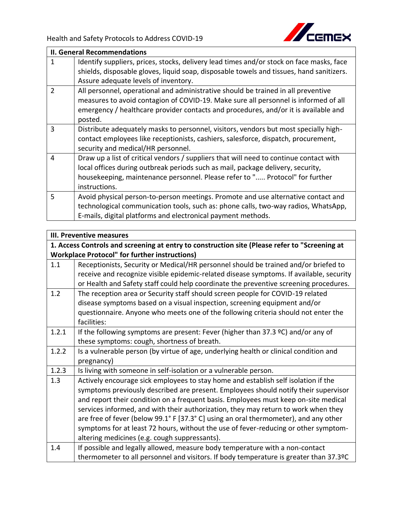

|                | <b>II. General Recommendations</b>                                                       |
|----------------|------------------------------------------------------------------------------------------|
| 1              | Identify suppliers, prices, stocks, delivery lead times and/or stock on face masks, face |
|                | shields, disposable gloves, liquid soap, disposable towels and tissues, hand sanitizers. |
|                | Assure adequate levels of inventory.                                                     |
| $\overline{2}$ | All personnel, operational and administrative should be trained in all preventive        |
|                | measures to avoid contagion of COVID-19. Make sure all personnel is informed of all      |
|                | emergency / healthcare provider contacts and procedures, and/or it is available and      |
|                | posted.                                                                                  |
| 3              | Distribute adequately masks to personnel, visitors, vendors but most specially high-     |
|                | contact employees like receptionists, cashiers, salesforce, dispatch, procurement,       |
|                | security and medical/HR personnel.                                                       |
| $\overline{4}$ | Draw up a list of critical vendors / suppliers that will need to continue contact with   |
|                | local offices during outbreak periods such as mail, package delivery, security,          |
|                | housekeeping, maintenance personnel. Please refer to " Protocol" for further             |
|                | instructions.                                                                            |
| 5              | Avoid physical person-to-person meetings. Promote and use alternative contact and        |
|                | technological communication tools, such as: phone calls, two-way radios, WhatsApp,       |
|                | E-mails, digital platforms and electronical payment methods.                             |

|       | <b>III. Preventive measures</b>                                                               |
|-------|-----------------------------------------------------------------------------------------------|
|       | 1. Access Controls and screening at entry to construction site (Please refer to "Screening at |
|       | <b>Workplace Protocol" for further instructions)</b>                                          |
| 1.1   | Receptionists, Security or Medical/HR personnel should be trained and/or briefed to           |
|       | receive and recognize visible epidemic-related disease symptoms. If available, security       |
|       | or Health and Safety staff could help coordinate the preventive screening procedures.         |
| 1.2   | The reception area or Security staff should screen people for COVID-19 related                |
|       | disease symptoms based on a visual inspection, screening equipment and/or                     |
|       | questionnaire. Anyone who meets one of the following criteria should not enter the            |
|       | facilities:                                                                                   |
| 1.2.1 | If the following symptoms are present: Fever (higher than 37.3 °C) and/or any of              |
|       | these symptoms: cough, shortness of breath.                                                   |
| 1.2.2 | Is a vulnerable person (by virtue of age, underlying health or clinical condition and         |
|       | pregnancy)                                                                                    |
| 1.2.3 | Is living with someone in self-isolation or a vulnerable person.                              |
| 1.3   | Actively encourage sick employees to stay home and establish self isolation if the            |
|       | symptoms previously described are present. Employees should notify their supervisor           |
|       | and report their condition on a frequent basis. Employees must keep on-site medical           |
|       | services informed, and with their authorization, they may return to work when they            |
|       | are free of fever (below 99.1° F [37.3° C] using an oral thermometer), and any other          |
|       | symptoms for at least 72 hours, without the use of fever-reducing or other symptom-           |
|       | altering medicines (e.g. cough suppressants).                                                 |
| 1.4   | If possible and legally allowed, measure body temperature with a non-contact                  |
|       | thermometer to all personnel and visitors. If body temperature is greater than 37.3ºC         |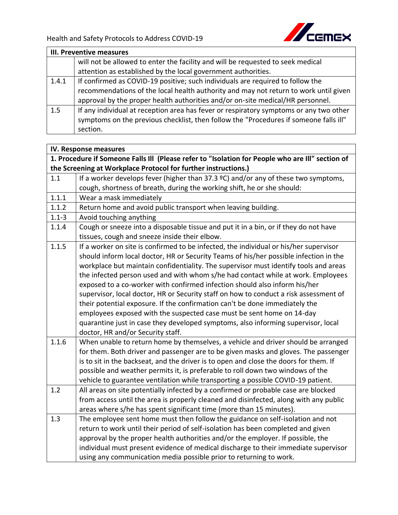

|       | <b>III. Preventive measures</b>                                                        |  |
|-------|----------------------------------------------------------------------------------------|--|
|       | will not be allowed to enter the facility and will be requested to seek medical        |  |
|       | attention as established by the local government authorities.                          |  |
| 1.4.1 | If confirmed as COVID-19 positive; such individuals are required to follow the         |  |
|       | recommendations of the local health authority and may not return to work until given   |  |
|       | approval by the proper health authorities and/or on-site medical/HR personnel.         |  |
| 1.5   | If any individual at reception area has fever or respiratory symptoms or any two other |  |
|       | symptoms on the previous checklist, then follow the "Procedures if someone falls ill"  |  |
|       | section.                                                                               |  |

|           | IV. Response measures                                                                            |  |
|-----------|--------------------------------------------------------------------------------------------------|--|
|           | 1. Procedure if Someone Falls III (Please refer to "Isolation for People who are III" section of |  |
|           | the Screening at Workplace Protocol for further instructions.)                                   |  |
| 1.1       | If a worker develops fever (higher than $37.3$ °C) and/or any of these two symptoms,             |  |
|           | cough, shortness of breath, during the working shift, he or she should:                          |  |
| 1.1.1     | Wear a mask immediately                                                                          |  |
| 1.1.2     | Return home and avoid public transport when leaving building.                                    |  |
| $1.1 - 3$ | Avoid touching anything                                                                          |  |
| 1.1.4     | Cough or sneeze into a disposable tissue and put it in a bin, or if they do not have             |  |
|           | tissues, cough and sneeze inside their elbow.                                                    |  |
| 1.1.5     | If a worker on site is confirmed to be infected, the individual or his/her supervisor            |  |
|           | should inform local doctor, HR or Security Teams of his/her possible infection in the            |  |
|           | workplace but maintain confidentiality. The supervisor must identify tools and areas             |  |
|           | the infected person used and with whom s/he had contact while at work. Employees                 |  |
|           | exposed to a co-worker with confirmed infection should also inform his/her                       |  |
|           | supervisor, local doctor, HR or Security staff on how to conduct a risk assessment of            |  |
|           | their potential exposure. If the confirmation can't be done immediately the                      |  |
|           | employees exposed with the suspected case must be sent home on 14-day                            |  |
|           | quarantine just in case they developed symptoms, also informing supervisor, local                |  |
|           | doctor, HR and/or Security staff.                                                                |  |
| 1.1.6     | When unable to return home by themselves, a vehicle and driver should be arranged                |  |
|           | for them. Both driver and passenger are to be given masks and gloves. The passenger              |  |
|           | is to sit in the backseat, and the driver is to open and close the doors for them. If            |  |
|           | possible and weather permits it, is preferable to roll down two windows of the                   |  |
|           | vehicle to guarantee ventilation while transporting a possible COVID-19 patient.                 |  |
| 1.2       | All areas on site potentially infected by a confirmed or probable case are blocked               |  |
|           | from access until the area is properly cleaned and disinfected, along with any public            |  |
|           | areas where s/he has spent significant time (more than 15 minutes).                              |  |
| 1.3       | The employee sent home must then follow the guidance on self-isolation and not                   |  |
|           | return to work until their period of self-isolation has been completed and given                 |  |
|           | approval by the proper health authorities and/or the employer. If possible, the                  |  |
|           | individual must present evidence of medical discharge to their immediate supervisor              |  |
|           | using any communication media possible prior to returning to work.                               |  |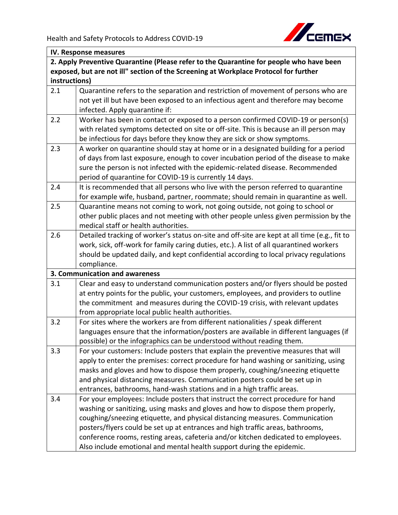

| IV. Response measures                                                                |                                                                                              |
|--------------------------------------------------------------------------------------|----------------------------------------------------------------------------------------------|
|                                                                                      | 2. Apply Preventive Quarantine (Please refer to the Quarantine for people who have been      |
| exposed, but are not ill" section of the Screening at Workplace Protocol for further |                                                                                              |
| instructions)                                                                        |                                                                                              |
| 2.1                                                                                  | Quarantine refers to the separation and restriction of movement of persons who are           |
|                                                                                      | not yet ill but have been exposed to an infectious agent and therefore may become            |
|                                                                                      | infected. Apply quarantine if:                                                               |
| 2.2                                                                                  | Worker has been in contact or exposed to a person confirmed COVID-19 or person(s)            |
|                                                                                      | with related symptoms detected on site or off-site. This is because an ill person may        |
|                                                                                      | be infectious for days before they know they are sick or show symptoms.                      |
| 2.3                                                                                  | A worker on quarantine should stay at home or in a designated building for a period          |
|                                                                                      | of days from last exposure, enough to cover incubation period of the disease to make         |
|                                                                                      | sure the person is not infected with the epidemic-related disease. Recommended               |
|                                                                                      | period of quarantine for COVID-19 is currently 14 days.                                      |
| 2.4                                                                                  | It is recommended that all persons who live with the person referred to quarantine           |
|                                                                                      | for example wife, husband, partner, roommate; should remain in quarantine as well.           |
| 2.5                                                                                  | Quarantine means not coming to work, not going outside, not going to school or               |
|                                                                                      | other public places and not meeting with other people unless given permission by the         |
|                                                                                      | medical staff or health authorities.                                                         |
| 2.6                                                                                  | Detailed tracking of worker's status on-site and off-site are kept at all time (e.g., fit to |
|                                                                                      | work, sick, off-work for family caring duties, etc.). A list of all quarantined workers      |
|                                                                                      | should be updated daily, and kept confidential according to local privacy regulations        |
|                                                                                      | compliance.                                                                                  |
|                                                                                      | 3. Communication and awareness                                                               |
| 3.1                                                                                  | Clear and easy to understand communication posters and/or flyers should be posted            |
|                                                                                      | at entry points for the public, your customers, employees, and providers to outline          |
|                                                                                      | the commitment and measures during the COVID-19 crisis, with relevant updates                |
|                                                                                      | from appropriate local public health authorities.                                            |
| 3.2                                                                                  | For sites where the workers are from different nationalities / speak different               |
|                                                                                      | languages ensure that the information/posters are available in different languages (if       |
|                                                                                      | possible) or the infographics can be understood without reading them.                        |
| 3.3                                                                                  | For your customers: Include posters that explain the preventive measures that will           |
|                                                                                      | apply to enter the premises: correct procedure for hand washing or sanitizing, using         |
|                                                                                      | masks and gloves and how to dispose them properly, coughing/sneezing etiquette               |
|                                                                                      | and physical distancing measures. Communication posters could be set up in                   |
|                                                                                      | entrances, bathrooms, hand-wash stations and in a high traffic areas.                        |
| 3.4                                                                                  | For your employees: Include posters that instruct the correct procedure for hand             |
|                                                                                      | washing or sanitizing, using masks and gloves and how to dispose them properly,              |
|                                                                                      | coughing/sneezing etiquette, and physical distancing measures. Communication                 |
|                                                                                      | posters/flyers could be set up at entrances and high traffic areas, bathrooms,               |
|                                                                                      | conference rooms, resting areas, cafeteria and/or kitchen dedicated to employees.            |
|                                                                                      | Also include emotional and mental health support during the epidemic.                        |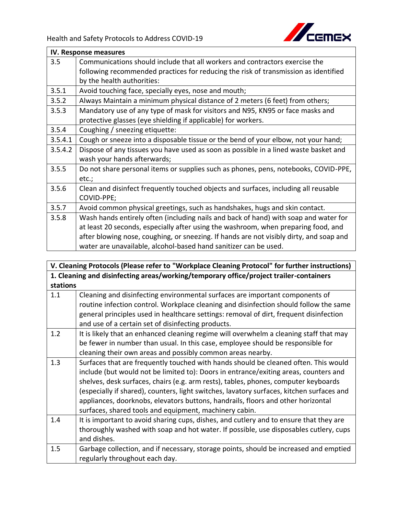

|         | IV. Response measures                                                                   |  |
|---------|-----------------------------------------------------------------------------------------|--|
| 3.5     | Communications should include that all workers and contractors exercise the             |  |
|         | following recommended practices for reducing the risk of transmission as identified     |  |
|         | by the health authorities:                                                              |  |
| 3.5.1   | Avoid touching face, specially eyes, nose and mouth;                                    |  |
| 3.5.2   | Always Maintain a minimum physical distance of 2 meters (6 feet) from others;           |  |
| 3.5.3   | Mandatory use of any type of mask for visitors and N95, KN95 or face masks and          |  |
|         | protective glasses (eye shielding if applicable) for workers.                           |  |
| 3.5.4   | Coughing / sneezing etiquette:                                                          |  |
| 3.5.4.1 | Cough or sneeze into a disposable tissue or the bend of your elbow, not your hand;      |  |
| 3.5.4.2 | Dispose of any tissues you have used as soon as possible in a lined waste basket and    |  |
|         | wash your hands afterwards;                                                             |  |
| 3.5.5   | Do not share personal items or supplies such as phones, pens, notebooks, COVID-PPE,     |  |
|         | etc.;                                                                                   |  |
| 3.5.6   | Clean and disinfect frequently touched objects and surfaces, including all reusable     |  |
|         | COVID-PPE;                                                                              |  |
| 3.5.7   | Avoid common physical greetings, such as handshakes, hugs and skin contact.             |  |
| 3.5.8   | Wash hands entirely often (including nails and back of hand) with soap and water for    |  |
|         | at least 20 seconds, especially after using the washroom, when preparing food, and      |  |
|         | after blowing nose, coughing, or sneezing. If hands are not visibly dirty, and soap and |  |
|         | water are unavailable, alcohol-based hand sanitizer can be used.                        |  |

|          | V. Cleaning Protocols (Please refer to "Workplace Cleaning Protocol" for further instructions) |  |
|----------|------------------------------------------------------------------------------------------------|--|
|          | 1. Cleaning and disinfecting areas/working/temporary office/project trailer-containers         |  |
| stations |                                                                                                |  |
| 1.1      | Cleaning and disinfecting environmental surfaces are important components of                   |  |
|          | routine infection control. Workplace cleaning and disinfection should follow the same          |  |
|          | general principles used in healthcare settings: removal of dirt, frequent disinfection         |  |
|          | and use of a certain set of disinfecting products.                                             |  |
| 1.2      | It is likely that an enhanced cleaning regime will overwhelm a cleaning staff that may         |  |
|          | be fewer in number than usual. In this case, employee should be responsible for                |  |
|          | cleaning their own areas and possibly common areas nearby.                                     |  |
| 1.3      | Surfaces that are frequently touched with hands should be cleaned often. This would            |  |
|          | include (but would not be limited to): Doors in entrance/exiting areas, counters and           |  |
|          | shelves, desk surfaces, chairs (e.g. arm rests), tables, phones, computer keyboards            |  |
|          | (especially if shared), counters, light switches, lavatory surfaces, kitchen surfaces and      |  |
|          | appliances, doorknobs, elevators buttons, handrails, floors and other horizontal               |  |
|          | surfaces, shared tools and equipment, machinery cabin.                                         |  |
| 1.4      | It is important to avoid sharing cups, dishes, and cutlery and to ensure that they are         |  |
|          | thoroughly washed with soap and hot water. If possible, use disposables cutlery, cups          |  |
|          | and dishes.                                                                                    |  |
| 1.5      | Garbage collection, and if necessary, storage points, should be increased and emptied          |  |
|          | regularly throughout each day.                                                                 |  |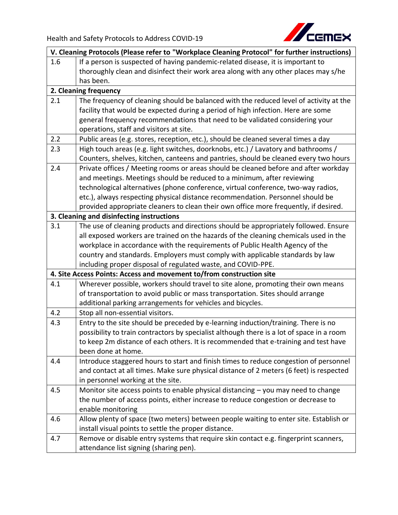

| V. Cleaning Protocols (Please refer to "Workplace Cleaning Protocol" for further instructions) |                                                                                           |
|------------------------------------------------------------------------------------------------|-------------------------------------------------------------------------------------------|
| 1.6                                                                                            | If a person is suspected of having pandemic-related disease, it is important to           |
|                                                                                                | thoroughly clean and disinfect their work area along with any other places may s/he       |
|                                                                                                | has been.                                                                                 |
|                                                                                                | 2. Cleaning frequency                                                                     |
| 2.1                                                                                            | The frequency of cleaning should be balanced with the reduced level of activity at the    |
|                                                                                                | facility that would be expected during a period of high infection. Here are some          |
|                                                                                                | general frequency recommendations that need to be validated considering your              |
|                                                                                                | operations, staff and visitors at site.                                                   |
| 2.2                                                                                            | Public areas (e.g. stores, reception, etc.), should be cleaned several times a day        |
| 2.3                                                                                            | High touch areas (e.g. light switches, doorknobs, etc.) / Lavatory and bathrooms /        |
|                                                                                                | Counters, shelves, kitchen, canteens and pantries, should be cleaned every two hours      |
| 2.4                                                                                            | Private offices / Meeting rooms or areas should be cleaned before and after workday       |
|                                                                                                | and meetings. Meetings should be reduced to a minimum, after reviewing                    |
|                                                                                                | technological alternatives (phone conference, virtual conference, two-way radios,         |
|                                                                                                | etc.), always respecting physical distance recommendation. Personnel should be            |
|                                                                                                | provided appropriate cleaners to clean their own office more frequently, if desired.      |
|                                                                                                | 3. Cleaning and disinfecting instructions                                                 |
| 3.1                                                                                            | The use of cleaning products and directions should be appropriately followed. Ensure      |
|                                                                                                | all exposed workers are trained on the hazards of the cleaning chemicals used in the      |
|                                                                                                | workplace in accordance with the requirements of Public Health Agency of the              |
|                                                                                                | country and standards. Employers must comply with applicable standards by law             |
|                                                                                                | including proper disposal of regulated waste, and COVID-PPE.                              |
|                                                                                                | 4. Site Access Points: Access and movement to/from construction site                      |
| 4.1                                                                                            | Wherever possible, workers should travel to site alone, promoting their own means         |
|                                                                                                | of transportation to avoid public or mass transportation. Sites should arrange            |
|                                                                                                | additional parking arrangements for vehicles and bicycles.                                |
| 4.2                                                                                            | Stop all non-essential visitors.                                                          |
| 4.3                                                                                            | Entry to the site should be preceded by e-learning induction/training. There is no        |
|                                                                                                | possibility to train contractors by specialist although there is a lot of space in a room |
|                                                                                                | to keep 2m distance of each others. It is recommended that e-training and test have       |
|                                                                                                | been done at home.                                                                        |
| 4.4                                                                                            | Introduce staggered hours to start and finish times to reduce congestion of personnel     |
|                                                                                                | and contact at all times. Make sure physical distance of 2 meters (6 feet) is respected   |
|                                                                                                | in personnel working at the site.                                                         |
| 4.5                                                                                            | Monitor site access points to enable physical distancing $-$ you may need to change       |
|                                                                                                | the number of access points, either increase to reduce congestion or decrease to          |
|                                                                                                | enable monitoring                                                                         |
| 4.6                                                                                            | Allow plenty of space (two meters) between people waiting to enter site. Establish or     |
|                                                                                                | install visual points to settle the proper distance.                                      |
| 4.7                                                                                            | Remove or disable entry systems that require skin contact e.g. fingerprint scanners,      |
|                                                                                                | attendance list signing (sharing pen).                                                    |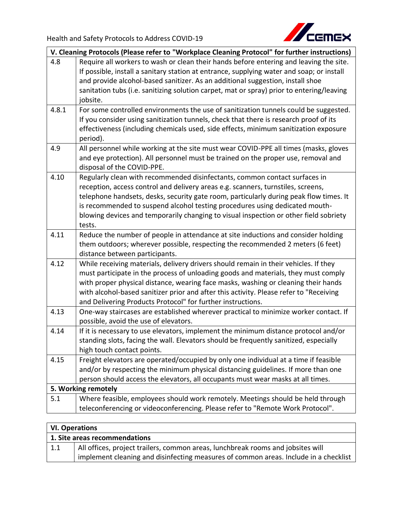

| V. Cleaning Protocols (Please refer to "Workplace Cleaning Protocol" for further instructions) |                                                                                                                                                                                                                                                                                                                                                                                                                                            |
|------------------------------------------------------------------------------------------------|--------------------------------------------------------------------------------------------------------------------------------------------------------------------------------------------------------------------------------------------------------------------------------------------------------------------------------------------------------------------------------------------------------------------------------------------|
| 4.8                                                                                            | Require all workers to wash or clean their hands before entering and leaving the site.<br>If possible, install a sanitary station at entrance, supplying water and soap; or install<br>and provide alcohol-based sanitizer. As an additional suggestion, install shoe<br>sanitation tubs (i.e. sanitizing solution carpet, mat or spray) prior to entering/leaving<br>jobsite.                                                             |
| 4.8.1                                                                                          | For some controlled environments the use of sanitization tunnels could be suggested.<br>If you consider using sanitization tunnels, check that there is research proof of its<br>effectiveness (including chemicals used, side effects, minimum sanitization exposure<br>period).                                                                                                                                                          |
| 4.9                                                                                            | All personnel while working at the site must wear COVID-PPE all times (masks, gloves<br>and eye protection). All personnel must be trained on the proper use, removal and<br>disposal of the COVID-PPE.                                                                                                                                                                                                                                    |
| 4.10                                                                                           | Regularly clean with recommended disinfectants, common contact surfaces in<br>reception, access control and delivery areas e.g. scanners, turnstiles, screens,<br>telephone handsets, desks, security gate room, particularly during peak flow times. It<br>is recommended to suspend alcohol testing procedures using dedicated mouth-<br>blowing devices and temporarily changing to visual inspection or other field sobriety<br>tests. |
| 4.11                                                                                           | Reduce the number of people in attendance at site inductions and consider holding<br>them outdoors; wherever possible, respecting the recommended 2 meters (6 feet)<br>distance between participants.                                                                                                                                                                                                                                      |
| 4.12                                                                                           | While receiving materials, delivery drivers should remain in their vehicles. If they<br>must participate in the process of unloading goods and materials, they must comply<br>with proper physical distance, wearing face masks, washing or cleaning their hands<br>with alcohol-based sanitizer prior and after this activity. Please refer to "Receiving<br>and Delivering Products Protocol" for further instructions.                  |
| 4.13                                                                                           | One-way staircases are established wherever practical to minimize worker contact. If<br>possible, avoid the use of elevators.                                                                                                                                                                                                                                                                                                              |
| 4.14                                                                                           | If it is necessary to use elevators, implement the minimum distance protocol and/or<br>standing slots, facing the wall. Elevators should be frequently sanitized, especially<br>high touch contact points.                                                                                                                                                                                                                                 |
| 4.15                                                                                           | Freight elevators are operated/occupied by only one individual at a time if feasible<br>and/or by respecting the minimum physical distancing guidelines. If more than one<br>person should access the elevators, all occupants must wear masks at all times.                                                                                                                                                                               |
| 5. Working remotely                                                                            |                                                                                                                                                                                                                                                                                                                                                                                                                                            |
| 5.1                                                                                            | Where feasible, employees should work remotely. Meetings should be held through<br>teleconferencing or videoconferencing. Please refer to "Remote Work Protocol".                                                                                                                                                                                                                                                                          |
|                                                                                                |                                                                                                                                                                                                                                                                                                                                                                                                                                            |

| <b>VI. Operations</b>         |                                                                                                                                                                         |
|-------------------------------|-------------------------------------------------------------------------------------------------------------------------------------------------------------------------|
| 1. Site areas recommendations |                                                                                                                                                                         |
| 1.1                           | All offices, project trailers, common areas, lunchbreak rooms and jobsites will<br>implement cleaning and disinfecting measures of common areas. Include in a checklist |
|                               |                                                                                                                                                                         |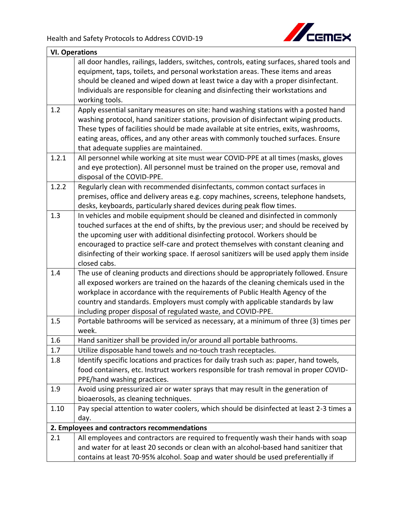

| <b>VI. Operations</b> |                                                                                                                                                                                                                                                                                                                                                                                                                                                           |
|-----------------------|-----------------------------------------------------------------------------------------------------------------------------------------------------------------------------------------------------------------------------------------------------------------------------------------------------------------------------------------------------------------------------------------------------------------------------------------------------------|
|                       | all door handles, railings, ladders, switches, controls, eating surfaces, shared tools and                                                                                                                                                                                                                                                                                                                                                                |
|                       | equipment, taps, toilets, and personal workstation areas. These items and areas                                                                                                                                                                                                                                                                                                                                                                           |
|                       | should be cleaned and wiped down at least twice a day with a proper disinfectant.                                                                                                                                                                                                                                                                                                                                                                         |
|                       | Individuals are responsible for cleaning and disinfecting their workstations and                                                                                                                                                                                                                                                                                                                                                                          |
|                       | working tools.                                                                                                                                                                                                                                                                                                                                                                                                                                            |
| 1.2                   | Apply essential sanitary measures on site: hand washing stations with a posted hand<br>washing protocol, hand sanitizer stations, provision of disinfectant wiping products.<br>These types of facilities should be made available at site entries, exits, washrooms,                                                                                                                                                                                     |
|                       | eating areas, offices, and any other areas with commonly touched surfaces. Ensure<br>that adequate supplies are maintained.                                                                                                                                                                                                                                                                                                                               |
| 1.2.1                 | All personnel while working at site must wear COVID-PPE at all times (masks, gloves                                                                                                                                                                                                                                                                                                                                                                       |
|                       | and eye protection). All personnel must be trained on the proper use, removal and<br>disposal of the COVID-PPE.                                                                                                                                                                                                                                                                                                                                           |
| 1.2.2                 | Regularly clean with recommended disinfectants, common contact surfaces in                                                                                                                                                                                                                                                                                                                                                                                |
|                       | premises, office and delivery areas e.g. copy machines, screens, telephone handsets,<br>desks, keyboards, particularly shared devices during peak flow times.                                                                                                                                                                                                                                                                                             |
| 1.3                   | In vehicles and mobile equipment should be cleaned and disinfected in commonly<br>touched surfaces at the end of shifts, by the previous user; and should be received by<br>the upcoming user with additional disinfecting protocol. Workers should be<br>encouraged to practice self-care and protect themselves with constant cleaning and<br>disinfecting of their working space. If aerosol sanitizers will be used apply them inside<br>closed cabs. |
| 1.4                   | The use of cleaning products and directions should be appropriately followed. Ensure<br>all exposed workers are trained on the hazards of the cleaning chemicals used in the<br>workplace in accordance with the requirements of Public Health Agency of the<br>country and standards. Employers must comply with applicable standards by law<br>including proper disposal of regulated waste, and COVID-PPE.                                             |
| 1.5                   | Portable bathrooms will be serviced as necessary, at a minimum of three (3) times per<br>week.                                                                                                                                                                                                                                                                                                                                                            |
| 1.6                   | Hand sanitizer shall be provided in/or around all portable bathrooms.                                                                                                                                                                                                                                                                                                                                                                                     |
| 1.7                   | Utilize disposable hand towels and no-touch trash receptacles.                                                                                                                                                                                                                                                                                                                                                                                            |
| 1.8                   | Identify specific locations and practices for daily trash such as: paper, hand towels,<br>food containers, etc. Instruct workers responsible for trash removal in proper COVID-<br>PPE/hand washing practices.                                                                                                                                                                                                                                            |
| 1.9                   | Avoid using pressurized air or water sprays that may result in the generation of<br>bioaerosols, as cleaning techniques.                                                                                                                                                                                                                                                                                                                                  |
| 1.10                  | Pay special attention to water coolers, which should be disinfected at least 2-3 times a                                                                                                                                                                                                                                                                                                                                                                  |
|                       | day.                                                                                                                                                                                                                                                                                                                                                                                                                                                      |
|                       | 2. Employees and contractors recommendations                                                                                                                                                                                                                                                                                                                                                                                                              |
| 2.1                   | All employees and contractors are required to frequently wash their hands with soap<br>and water for at least 20 seconds or clean with an alcohol-based hand sanitizer that                                                                                                                                                                                                                                                                               |
|                       | contains at least 70-95% alcohol. Soap and water should be used preferentially if                                                                                                                                                                                                                                                                                                                                                                         |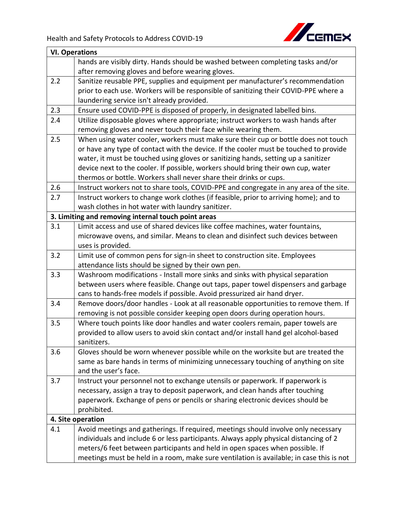

| <b>VI. Operations</b> |                                                                                          |
|-----------------------|------------------------------------------------------------------------------------------|
|                       | hands are visibly dirty. Hands should be washed between completing tasks and/or          |
|                       | after removing gloves and before wearing gloves.                                         |
| 2.2                   | Sanitize reusable PPE, supplies and equipment per manufacturer's recommendation          |
|                       | prior to each use. Workers will be responsible of sanitizing their COVID-PPE where a     |
|                       | laundering service isn't already provided.                                               |
| 2.3                   | Ensure used COVID-PPE is disposed of properly, in designated labelled bins.              |
| 2.4                   | Utilize disposable gloves where appropriate; instruct workers to wash hands after        |
|                       | removing gloves and never touch their face while wearing them.                           |
| 2.5                   | When using water cooler, workers must make sure their cup or bottle does not touch       |
|                       | or have any type of contact with the device. If the cooler must be touched to provide    |
|                       | water, it must be touched using gloves or sanitizing hands, setting up a sanitizer       |
|                       | device next to the cooler. If possible, workers should bring their own cup, water        |
|                       | thermos or bottle. Workers shall never share their drinks or cups.                       |
| 2.6                   | Instruct workers not to share tools, COVID-PPE and congregate in any area of the site.   |
| 2.7                   | Instruct workers to change work clothes (if feasible, prior to arriving home); and to    |
|                       | wash clothes in hot water with laundry sanitizer.                                        |
|                       | 3. Limiting and removing internal touch point areas                                      |
| 3.1                   | Limit access and use of shared devices like coffee machines, water fountains,            |
|                       | microwave ovens, and similar. Means to clean and disinfect such devices between          |
|                       | uses is provided.                                                                        |
| 3.2                   | Limit use of common pens for sign-in sheet to construction site. Employees               |
|                       | attendance lists should be signed by their own pen.                                      |
| 3.3                   | Washroom modifications - Install more sinks and sinks with physical separation           |
|                       | between users where feasible. Change out taps, paper towel dispensers and garbage        |
|                       | cans to hands-free models if possible. Avoid pressurized air hand dryer.                 |
| 3.4                   | Remove doors/door handles - Look at all reasonable opportunities to remove them. If      |
|                       | removing is not possible consider keeping open doors during operation hours.             |
| 3.5                   | Where touch points like door handles and water coolers remain, paper towels are          |
|                       | provided to allow users to avoid skin contact and/or install hand gel alcohol-based      |
|                       | sanitizers.                                                                              |
| 3.6                   | Gloves should be worn whenever possible while on the worksite but are treated the        |
|                       | same as bare hands in terms of minimizing unnecessary touching of anything on site       |
|                       | and the user's face.                                                                     |
| 3.7                   | Instruct your personnel not to exchange utensils or paperwork. If paperwork is           |
|                       | necessary, assign a tray to deposit paperwork, and clean hands after touching            |
|                       | paperwork. Exchange of pens or pencils or sharing electronic devices should be           |
|                       | prohibited.                                                                              |
| 4. Site operation     |                                                                                          |
| 4.1                   | Avoid meetings and gatherings. If required, meetings should involve only necessary       |
|                       | individuals and include 6 or less participants. Always apply physical distancing of 2    |
|                       | meters/6 feet between participants and held in open spaces when possible. If             |
|                       | meetings must be held in a room, make sure ventilation is available; in case this is not |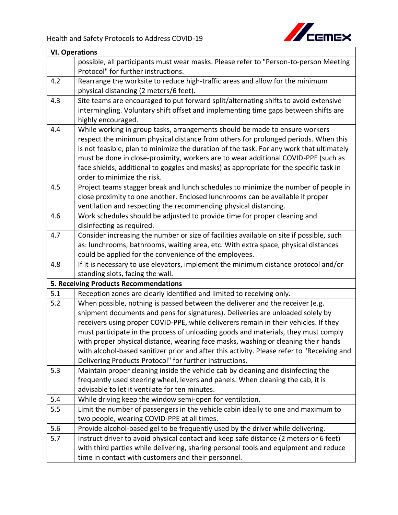

| <b>VI. Operations</b> |                                                                                            |
|-----------------------|--------------------------------------------------------------------------------------------|
|                       | possible, all participants must wear masks. Please refer to "Person-to-person Meeting      |
|                       | Protocol" for further instructions.                                                        |
| 4.2                   | Rearrange the worksite to reduce high-traffic areas and allow for the minimum              |
|                       | physical distancing (2 meters/6 feet).                                                     |
| 4.3                   | Site teams are encouraged to put forward split/alternating shifts to avoid extensive       |
|                       | intermingling. Voluntary shift offset and implementing time gaps between shifts are        |
|                       | highly encouraged.                                                                         |
| 4.4                   | While working in group tasks, arrangements should be made to ensure workers                |
|                       | respect the minimum physical distance from others for prolonged periods. When this         |
|                       | is not feasible, plan to minimize the duration of the task. For any work that ultimately   |
|                       | must be done in close-proximity, workers are to wear additional COVID-PPE (such as         |
|                       | face shields, additional to goggles and masks) as appropriate for the specific task in     |
|                       | order to minimize the risk.                                                                |
| 4.5                   | Project teams stagger break and lunch schedules to minimize the number of people in        |
|                       | close proximity to one another. Enclosed lunchrooms can be available if proper             |
|                       | ventilation and respecting the recommending physical distancing.                           |
| 4.6                   | Work schedules should be adjusted to provide time for proper cleaning and                  |
|                       | disinfecting as required.                                                                  |
| 4.7                   | Consider increasing the number or size of facilities available on site if possible, such   |
|                       | as: lunchrooms, bathrooms, waiting area, etc. With extra space, physical distances         |
|                       | could be applied for the convenience of the employees.                                     |
| 4.8                   | If it is necessary to use elevators, implement the minimum distance protocol and/or        |
|                       | standing slots, facing the wall.                                                           |
|                       | 5. Receiving Products Recommendations                                                      |
| 5.1                   | Reception zones are clearly identified and limited to receiving only.                      |
| 5.2                   | When possible, nothing is passed between the deliverer and the receiver (e.g.              |
|                       | shipment documents and pens for signatures). Deliveries are unloaded solely by             |
|                       | receivers using proper COVID-PPE, while deliverers remain in their vehicles. If they       |
|                       | must participate in the process of unloading goods and materials, they must comply         |
|                       | with proper physical distance, wearing face masks, washing or cleaning their hands         |
|                       | with alcohol-based sanitizer prior and after this activity. Please refer to "Receiving and |
|                       | Delivering Products Protocol" for further instructions.                                    |
| 5.3                   | Maintain proper cleaning inside the vehicle cab by cleaning and disinfecting the           |
|                       | frequently used steering wheel, levers and panels. When cleaning the cab, it is            |
|                       | advisable to let it ventilate for ten minutes.                                             |
| 5.4                   | While driving keep the window semi-open for ventilation.                                   |
| 5.5                   | Limit the number of passengers in the vehicle cabin ideally to one and maximum to          |
|                       | two people, wearing COVID-PPE at all times.                                                |
| 5.6                   | Provide alcohol-based gel to be frequently used by the driver while delivering.            |
| 5.7                   | Instruct driver to avoid physical contact and keep safe distance (2 meters or 6 feet)      |
|                       | with third parties while delivering, sharing personal tools and equipment and reduce       |
|                       | time in contact with customers and their personnel.                                        |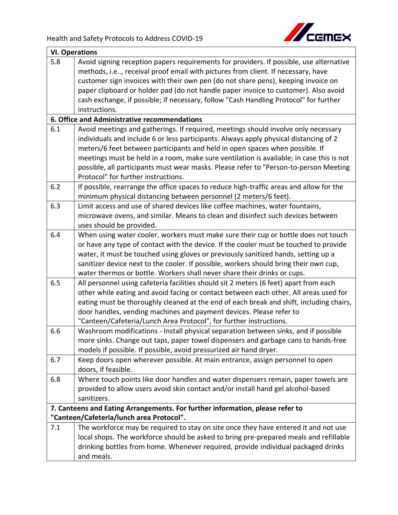

| <b>VI. Operations</b>                                                                                                     |                                                                                                 |
|---------------------------------------------------------------------------------------------------------------------------|-------------------------------------------------------------------------------------------------|
| 5.8                                                                                                                       | Avoid signing reception papers requirements for providers. If possible, use alternative         |
|                                                                                                                           | methods, i.e, receival proof email with pictures from client. If necessary, have                |
|                                                                                                                           | customer sign invoices with their own pen (do not share pens), keeping invoice on               |
|                                                                                                                           | paper clipboard or holder pad (do not handle paper invoice to customer). Also avoid             |
|                                                                                                                           | cash exchange, if possible; if necessary, follow "Cash Handling Protocol" for further           |
|                                                                                                                           | instructions.                                                                                   |
|                                                                                                                           | 6. Office and Administrative recommendations                                                    |
| 6.1                                                                                                                       | Avoid meetings and gatherings. If required, meetings should involve only necessary              |
|                                                                                                                           | individuals and include 6 or less participants. Always apply physical distancing of 2           |
|                                                                                                                           | meters/6 feet between participants and held in open spaces when possible. If                    |
|                                                                                                                           | meetings must be held in a room, make sure ventilation is available; in case this is not        |
|                                                                                                                           | possible, all participants must wear masks. Please refer to "Person-to-person Meeting           |
|                                                                                                                           | Protocol" for further instructions.                                                             |
| 6.2                                                                                                                       | If possible, rearrange the office spaces to reduce high-traffic areas and allow for the         |
|                                                                                                                           | minimum physical distancing between personnel (2 meters/6 feet).                                |
| 6.3                                                                                                                       | Limit access and use of shared devices like coffee machines, water fountains,                   |
|                                                                                                                           | microwave ovens, and similar. Means to clean and disinfect such devices between                 |
|                                                                                                                           | uses should be provided.                                                                        |
| 6.4                                                                                                                       | When using water cooler, workers must make sure their cup or bottle does not touch              |
|                                                                                                                           | or have any type of contact with the device. If the cooler must be touched to provide           |
|                                                                                                                           | water, it must be touched using gloves or previously sanitized hands, setting up a              |
|                                                                                                                           | sanitizer device next to the cooler. If possible, workers should bring their own cup,           |
|                                                                                                                           | water thermos or bottle. Workers shall never share their drinks or cups.                        |
| 6.5                                                                                                                       | All personnel using cafeteria facilities should sit 2 meters (6 feet) apart from each           |
|                                                                                                                           | other while eating and avoid facing or contact between each other. All areas used for           |
|                                                                                                                           | eating must be thoroughly cleaned at the end of each break and shift, including chairs,         |
|                                                                                                                           | door handles, vending machines and payment devices. Please refer to                             |
|                                                                                                                           | "Canteen/Cafeteria/Lunch Area Protocol", for further instructions.                              |
| 6.6                                                                                                                       | Washroom modifications - Install physical separation between sinks, and if possible             |
|                                                                                                                           | more sinks. Change out taps, paper towel dispensers and garbage cans to hands-free              |
|                                                                                                                           | models if possible. If possible, avoid pressurized air hand dryer.                              |
| 6.7                                                                                                                       | Keep doors open wherever possible. At main entrance, assign personnel to open                   |
|                                                                                                                           | doors, if feasible.                                                                             |
| 6.8                                                                                                                       | Where touch points like door handles and water dispensers remain, paper towels are              |
|                                                                                                                           | provided to allow users avoid skin contact and/or install hand gel alcohol-based<br>sanitizers. |
|                                                                                                                           |                                                                                                 |
| 7. Canteens and Eating Arrangements. For further information, please refer to<br>"Canteen/Cafeteria/lunch area Protocol". |                                                                                                 |
| 7.1                                                                                                                       | The workforce may be required to stay on site once they have entered it and not use             |
|                                                                                                                           | local shops. The workforce should be asked to bring pre-prepared meals and refillable           |
|                                                                                                                           | drinking bottles from home. Whenever required, provide individual packaged drinks               |
|                                                                                                                           | and meals.                                                                                      |
|                                                                                                                           |                                                                                                 |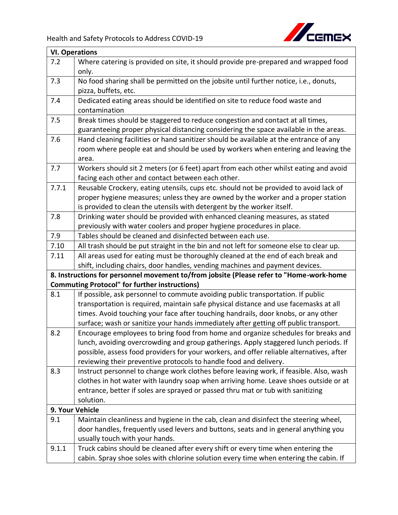

| <b>VI. Operations</b> |                                                                                          |
|-----------------------|------------------------------------------------------------------------------------------|
| 7.2                   | Where catering is provided on site, it should provide pre-prepared and wrapped food      |
|                       | only.                                                                                    |
| 7.3                   | No food sharing shall be permitted on the jobsite until further notice, i.e., donuts,    |
|                       | pizza, buffets, etc.                                                                     |
| 7.4                   | Dedicated eating areas should be identified on site to reduce food waste and             |
|                       | contamination                                                                            |
| 7.5                   | Break times should be staggered to reduce congestion and contact at all times,           |
|                       | guaranteeing proper physical distancing considering the space available in the areas.    |
| 7.6                   | Hand cleaning facilities or hand sanitizer should be available at the entrance of any    |
|                       | room where people eat and should be used by workers when entering and leaving the        |
|                       | area.                                                                                    |
| 7.7                   | Workers should sit 2 meters (or 6 feet) apart from each other whilst eating and avoid    |
|                       | facing each other and contact between each other.                                        |
| 7.7.1                 | Reusable Crockery, eating utensils, cups etc. should not be provided to avoid lack of    |
|                       | proper hygiene measures; unless they are owned by the worker and a proper station        |
|                       | is provided to clean the utensils with detergent by the worker itself.                   |
| 7.8                   | Drinking water should be provided with enhanced cleaning measures, as stated             |
|                       | previously with water coolers and proper hygiene procedures in place.                    |
| 7.9                   | Tables should be cleaned and disinfected between each use.                               |
| 7.10                  | All trash should be put straight in the bin and not left for someone else to clear up.   |
| 7.11                  | All areas used for eating must be thoroughly cleaned at the end of each break and        |
|                       | shift, including chairs, door handles, vending machines and payment devices.             |
|                       | 8. Instructions for personnel movement to/from jobsite (Please refer to "Home-work-home  |
|                       | <b>Commuting Protocol" for further instructions)</b>                                     |
| 8.1                   | If possible, ask personnel to commute avoiding public transportation. If public          |
|                       | transportation is required, maintain safe physical distance and use facemasks at all     |
|                       | times. Avoid touching your face after touching handrails, door knobs, or any other       |
|                       | surface; wash or sanitize your hands immediately after getting off public transport.     |
| 8.2                   | Encourage employees to bring food from home and organize schedules for breaks and        |
|                       | lunch, avoiding overcrowding and group gatherings. Apply staggered lunch periods. If     |
|                       | possible, assess food providers for your workers, and offer reliable alternatives, after |
|                       | reviewing their preventive protocols to handle food and delivery.                        |
| 8.3                   | Instruct personnel to change work clothes before leaving work, if feasible. Also, wash   |
|                       | clothes in hot water with laundry soap when arriving home. Leave shoes outside or at     |
|                       | entrance, better if soles are sprayed or passed thru mat or tub with sanitizing          |
|                       | solution.                                                                                |
|                       | 9. Your Vehicle                                                                          |
| 9.1                   | Maintain cleanliness and hygiene in the cab, clean and disinfect the steering wheel,     |
|                       | door handles, frequently used levers and buttons, seats and in general anything you      |
|                       | usually touch with your hands.                                                           |
| 9.1.1                 | Truck cabins should be cleaned after every shift or every time when entering the         |
|                       | cabin. Spray shoe soles with chlorine solution every time when entering the cabin. If    |